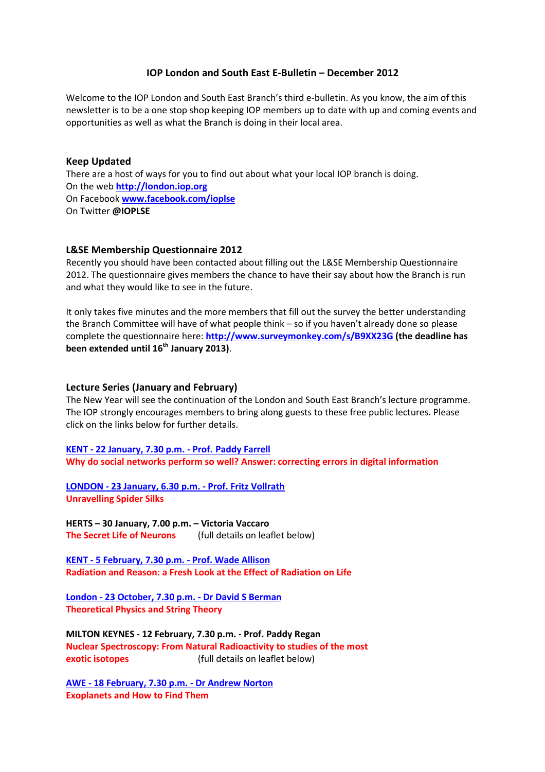# IOP London and South East E-Bulletin – December 2012

Welcome to the IOP London and South East Branch's third e-bulletin. As you know, the aim of this newsletter is to be a one stop shop keeping IOP members up to date with up and coming events and opportunities as well as what the Branch is doing in their local area.

#### Keep Updated

There are a host of ways for you to find out about what your local IOP branch is doing. On the web http://london.iop.org On Facebook www.facebook.com/ioplse On Twitter @IOPLSE

## L&SE Membership Questionnaire 2012

Recently you should have been contacted about filling out the L&SE Membership Questionnaire 2012. The questionnaire gives members the chance to have their say about how the Branch is run and what they would like to see in the future.

It only takes five minutes and the more members that fill out the survey the better understanding the Branch Committee will have of what people think – so if you haven't already done so please complete the questionnaire here: http://www.surveymonkey.com/s/B9XX23G (the deadline has been extended until 16<sup>th</sup> January 2013).

#### Lecture Series (January and February)

The New Year will see the continuation of the London and South East Branch's lecture programme. The IOP strongly encourages members to bring along guests to these free public lectures. Please click on the links below for further details.

KENT - 22 January, 7.30 p.m. - Prof. Paddy Farrell Why do social networks perform so well? Answer: correcting errors in digital information

LONDON - 23 January, 6.30 p.m. - Prof. Fritz Vollrath Unravelling Spider Silks

HERTS – 30 January, 7.00 p.m. – Victoria Vaccaro The Secret Life of Neurons (full details on leaflet below)

KENT - 5 February, 7.30 p.m. - Prof. Wade Allison Radiation and Reason: a Fresh Look at the Effect of Radiation on Life

London - 23 October, 7.30 p.m. - Dr David S Berman Theoretical Physics and String Theory

MILTON KEYNES - 12 February, 7.30 p.m. - Prof. Paddy Regan Nuclear Spectroscopy: From Natural Radioactivity to studies of the most exotic isotopes (full details on leaflet below)

AWE - 18 February, 7.30 p.m. - Dr Andrew Norton Exoplanets and How to Find Them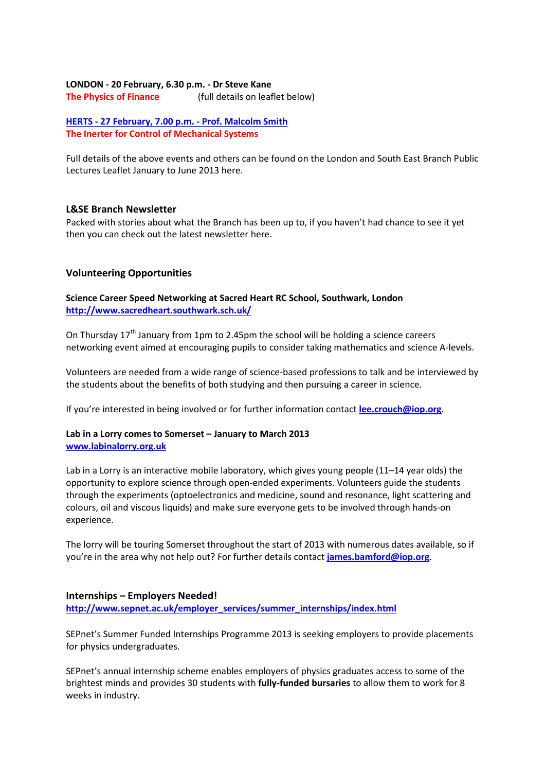## LONDON - 20 February, 6.30 p.m. - Dr Steve Kane

The Physics of Finance (full details on leaflet below)

HERTS - 27 February, 7.00 p.m. - Prof. Malcolm Smith The Inerter for Control of Mechanical Systems

Full details of the above events and others can be found on the London and South East Branch Public Lectures Leaflet January to June 2013 here.

#### L&SE Branch Newsletter

Packed with stories about what the Branch has been up to, if you haven't had chance to see it yet then you can check out the latest newsletter here.

## Volunteering Opportunities

Science Career Speed Networking at Sacred Heart RC School, Southwark, London http://www.sacredheart.southwark.sch.uk/

On Thursday  $17<sup>th</sup>$  January from 1pm to 2.45pm the school will be holding a science careers networking event aimed at encouraging pupils to consider taking mathematics and science A-levels.

Volunteers are needed from a wide range of science-based professions to talk and be interviewed by the students about the benefits of both studying and then pursuing a career in science.

If you're interested in being involved or for further information contact lee.crouch@iop.org.

## Lab in a Lorry comes to Somerset – January to March 2013 www.labinalorry.org.uk

Lab in a Lorry is an interactive mobile laboratory, which gives young people (11–14 year olds) the opportunity to explore science through open-ended experiments. Volunteers guide the students through the experiments (optoelectronics and medicine, sound and resonance, light scattering and colours, oil and viscous liquids) and make sure everyone gets to be involved through hands-on experience.

The lorry will be touring Somerset throughout the start of 2013 with numerous dates available, so if you're in the area why not help out? For further details contact james.bamford@iop.org.

#### Internships – Employers Needed!

http://www.sepnet.ac.uk/employer\_services/summer\_internships/index.html

SEPnet's Summer Funded Internships Programme 2013 is seeking employers to provide placements for physics undergraduates.

SEPnet's annual internship scheme enables employers of physics graduates access to some of the brightest minds and provides 30 students with fully-funded bursaries to allow them to work for 8 weeks in industry.